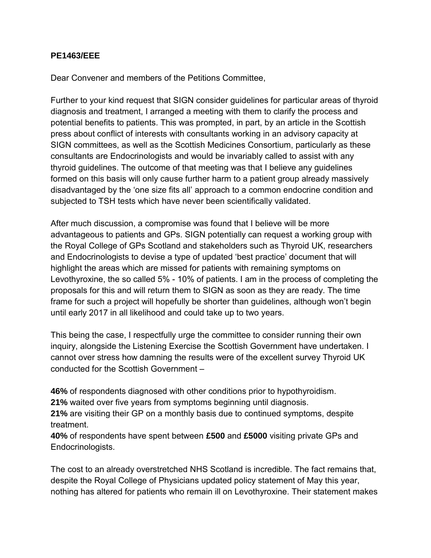## **PE1463/EEE**

Dear Convener and members of the Petitions Committee,

Further to your kind request that SIGN consider guidelines for particular areas of thyroid diagnosis and treatment, I arranged a meeting with them to clarify the process and potential benefits to patients. This was prompted, in part, by an article in the Scottish press about conflict of interests with consultants working in an advisory capacity at SIGN committees, as well as the Scottish Medicines Consortium, particularly as these consultants are Endocrinologists and would be invariably called to assist with any thyroid guidelines. The outcome of that meeting was that I believe any guidelines formed on this basis will only cause further harm to a patient group already massively disadvantaged by the 'one size fits all' approach to a common endocrine condition and subjected to TSH tests which have never been scientifically validated.

After much discussion, a compromise was found that I believe will be more advantageous to patients and GPs. SIGN potentially can request a working group with the Royal College of GPs Scotland and stakeholders such as Thyroid UK, researchers and Endocrinologists to devise a type of updated 'best practice' document that will highlight the areas which are missed for patients with remaining symptoms on Levothyroxine, the so called 5% - 10% of patients. I am in the process of completing the proposals for this and will return them to SIGN as soon as they are ready. The time frame for such a project will hopefully be shorter than guidelines, although won't begin until early 2017 in all likelihood and could take up to two years.

This being the case, I respectfully urge the committee to consider running their own inquiry, alongside the Listening Exercise the Scottish Government have undertaken. I cannot over stress how damning the results were of the excellent survey Thyroid UK conducted for the Scottish Government –

**46%** of respondents diagnosed with other conditions prior to hypothyroidism.

**21%** waited over five years from symptoms beginning until diagnosis.

**21%** are visiting their GP on a monthly basis due to continued symptoms, despite treatment.

**40%** of respondents have spent between **£500** and **£5000** visiting private GPs and Endocrinologists.

The cost to an already overstretched NHS Scotland is incredible. The fact remains that, despite the Royal College of Physicians updated policy statement of May this year, nothing has altered for patients who remain ill on Levothyroxine. Their statement makes